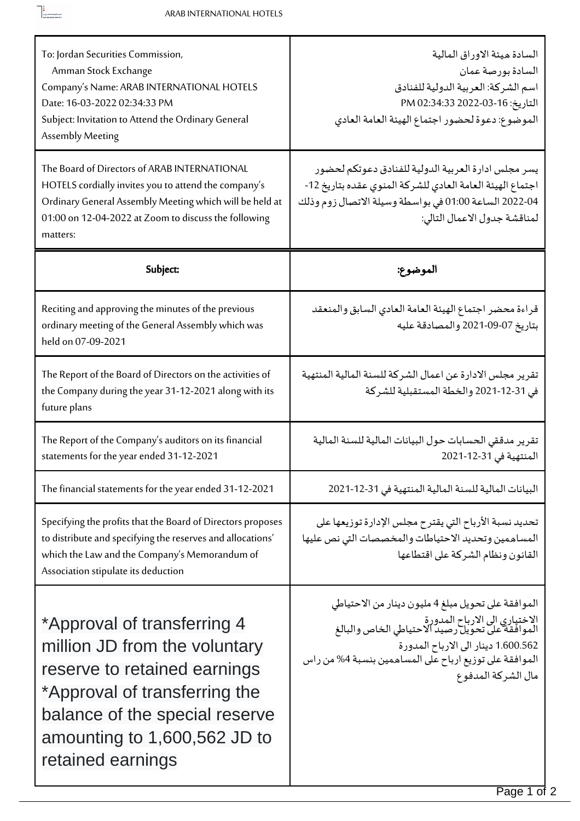$\begin{tabular}{|c|c|} \hline \rule{0.3cm}{.4cm} & & \rule{0.3cm}{.4cm} \rule{0.3cm}{.4cm} \rule{0.3cm}{.4cm} \rule{0.3cm}{.4cm} \rule{0.3cm}{.4cm} \rule{0.3cm}{.4cm} \rule{0.3cm}{.4cm} \rule{0.3cm}{.4cm} \rule{0.3cm}{.4cm} \rule{0.3cm}{.4cm} \rule{0.3cm}{.4cm} \rule{0.3cm}{.4cm} \rule{0.3cm}{.4cm} \rule{0.3cm}{.4cm} \rule{0.3cm}{.4cm} \rule{0.3cm}{.4cm$ 

П

| To: Jordan Securities Commission,<br>Amman Stock Exchange<br>Company's Name: ARAB INTERNATIONAL HOTELS<br>Date: 16-03-2022 02:34:33 PM<br>Subject: Invitation to Attend the Ordinary General<br>Assembly Meeting                    | السادة ميئة الاوراق المالية<br>السادة بورصة عمان<br>اسم الشركة: العربية الدولية للفنادق<br>التاريخ: 16-03-2022 PM 02:34:33<br>الموضوع: دعوة لحضور اجتماع الهيئة العامة العادي                                                                                 |
|-------------------------------------------------------------------------------------------------------------------------------------------------------------------------------------------------------------------------------------|---------------------------------------------------------------------------------------------------------------------------------------------------------------------------------------------------------------------------------------------------------------|
| The Board of Directors of ARAB INTERNATIONAL<br>HOTELS cordially invites you to attend the company's<br>Ordinary General Assembly Meeting which will be held at<br>01:00 on 12-04-2022 at Zoom to discuss the following<br>matters: | يسر مجلس ادارة العربية الدولية للفنادق دعوتكم لحضور<br>اجتماع الهيئة العامة العادي للشركة المنوى عقده بتاريخ 12-<br>04-2022 الساعة 01:00 في بواسطة وسيلة الاتصال زوم وذلك<br>لمناقشة جدول الاعمال التالي:                                                     |
| Subject:                                                                                                                                                                                                                            | الموضوع:                                                                                                                                                                                                                                                      |
| Reciting and approving the minutes of the previous<br>ordinary meeting of the General Assembly which was<br>held on 07-09-2021                                                                                                      | قراءة محضر اجتماع الهيئة العامة العادي السابق والمنعقد<br>بتاريخ 07-09-2021 والمصادقة عليه                                                                                                                                                                    |
| The Report of the Board of Directors on the activities of<br>the Company during the year 31-12-2021 along with its<br>future plans                                                                                                  | تقرير مجلس الادارة عن اعمال الشركة للسنة المالية المنتهية<br>في 31-12-2021 والخطة المستقبلية للشركة                                                                                                                                                           |
| The Report of the Company's auditors on its financial<br>statements for the year ended 31-12-2021                                                                                                                                   | تقرير مدققى الحسابات حول البيانات المالية للسنة المالية<br>المنتهية في 31-12-2021                                                                                                                                                                             |
| The financial statements for the year ended 31-12-2021                                                                                                                                                                              | البيانات المالية للسنة المالية المنتهية في 31-12-2021                                                                                                                                                                                                         |
| Specifying the profits that the Board of Directors proposes<br>to distribute and specifying the reserves and allocations'<br>which the Law and the Company's Memorandum of<br>Association stipulate its deduction                   | تحديد نسبة الأرباح التي يقترح مجلس الإدارة توزيعها على<br>المساهمين وتحديد الاحتياطات والمخصصات التي نص عليها<br>القانون ونظام الشركة على اقتطاعها                                                                                                            |
| *Approval of transferring 4<br>million JD from the voluntary<br>reserve to retained earnings<br>*Approval of transferring the<br>balance of the special reserve<br>amounting to $1,600,562$ JD to<br>retained earnings              | الموافقة على تحويل مبلغ 4 مليون دينار من الاحتياطي<br>الاختياري الى الارباح المدورة<br>الموافقة على تحويل رصيد الاحتياطي الخاص والبالغ<br>1.600.562 دينار الى الارباح المدورة<br>الموافقة على توزيع ارباح على المساهمين بنسبة 4% من راس<br>مال الشركة المدفوع |